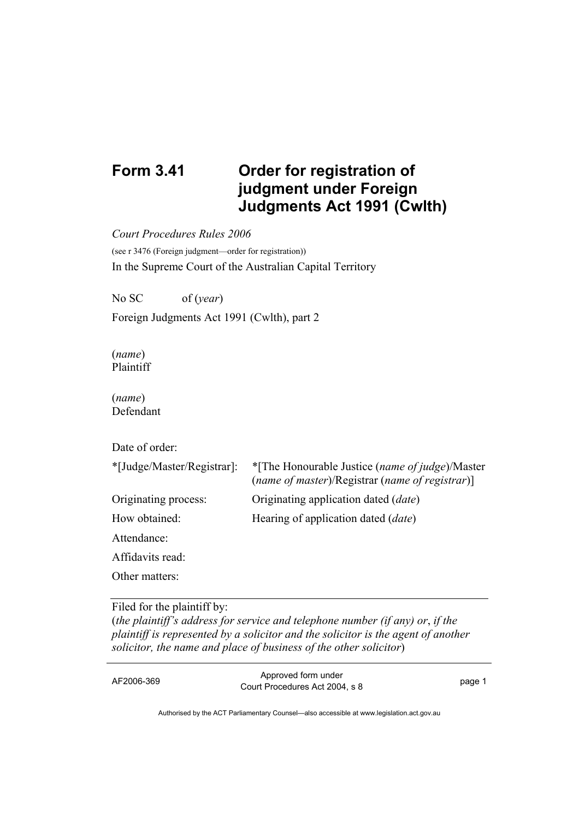## **Form 3.41 Order for registration of judgment under Foreign Judgments Act 1991 (Cwlth)**

*Court Procedures Rules 2006* 

(see r 3476 (Foreign judgment—order for registration)) In the Supreme Court of the Australian Capital Territory

No SC of (*year*)

Foreign Judgments Act 1991 (Cwlth), part 2

(*name*) Plaintiff

(*name*) Defendant

Date of order:

| *[Judge/Master/Registrar]: | *[The Honourable Justice (name of judge)/Master<br>(name of master)/Registrar (name of registrar)] |
|----------------------------|----------------------------------------------------------------------------------------------------|
| Originating process:       | Originating application dated ( <i>date</i> )                                                      |
| How obtained:              | Hearing of application dated ( <i>date</i> )                                                       |
| Attendance:                |                                                                                                    |
| Affidavits read:           |                                                                                                    |
| Other matters:             |                                                                                                    |
|                            |                                                                                                    |

## Filed for the plaintiff by:

(*the plaintiff's address for service and telephone number (if any) or*, *if the plaintiff is represented by a solicitor and the solicitor is the agent of another solicitor, the name and place of business of the other solicitor*)

AF2006-369 Approved form under Court Procedures Act 2004, s 8 page 1

Authorised by the ACT Parliamentary Counsel—also accessible at www.legislation.act.gov.au